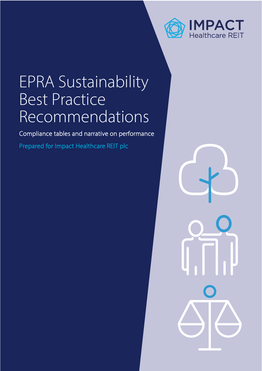

# EPRA Sustainability Best Practice Recommendations

Compliance tables and narrative on performance

Prepared for Impact Healthcare REIT plc

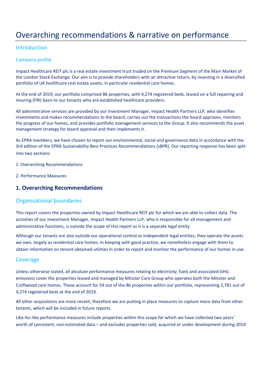# Overarching recommendations & narrative on performance

#### Introduction

#### Company profile

Impact Healthcare REIT plc is a real estate investment trust traded on the Premium Segment of the Main Market of the London Stock Exchange. Our aim is to provide shareholders with an attractive return, by investing in a diversified portfolio of UK healthcare real estate assets, in particular residential care homes.

At the end of 2019, our portfolio comprised 86 properties, with 4,274 registered beds, leased on a full repairing and insuring (FRI) basis to our tenants who are established healthcare providers.

All administrative services are provided by our Investment Manager, Impact Health Partners LLP, who identifies investments and makes recommendations to the board, carries out the transactions the board approves, monitors the progress of our homes, and provides portfolio management services to the Group. It also recommends the asset management strategy for board approval and then implements it.

As EPRA members, we have chosen to report our environmental, social and governance data in accordance with the 3rd edition of the EPRA Sustainability Best Practices Recommendations (sBPR). Our reporting response has been split into two sections:

- 1. Overarching Recommendations
- 2. Performance Measures

#### **1. Overarching Recommendations**

#### Organisational boundaries

This report covers the properties owned by Impact Healthcare REIT plc for which we are able to collect data. The activities of our Investment Manager, Impact Health Partners LLP, who is responsible for all management and administrative functions, is outside the scope of this report as it is a separate legal entity.

Although our tenants are also outside our operational control as independent legal entities, they operate the assets we own, largely as residential care homes. In keeping with good practice, we nonetheless engage with them to obtain information on tenant-obtained utilities in order to report and monitor the performance of our homes in use.

#### Coverage

Unless otherwise stated, all absolute performance measures relating to electricity, fuels and associated GHG emissions cover the properties leased and managed by Minster Care Group who operates both the Minster and Croftwood care homes. These account for 59 out of the 86 properties within our portfolio, representing 2,781 out of 4,274 registered beds at the end of 2019.

All other acquisitions are more recent, therefore we are putting in place measures to capture more data from other tenants, which will be included in future reports.

Like-for-like performance measures include properties within this scope for which we have collected two years' worth of consistent, non-estimated data – and excludes properties sold, acquired or under development during 2019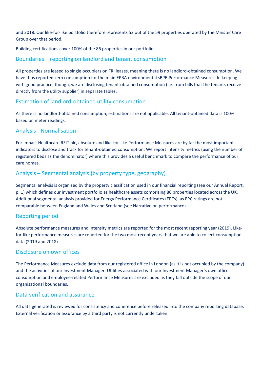and 2018. Our like-for-like portfolio therefore represents 52 out of the 59 properties operated by the Minster Care Group over that period.

Building certifications cover 100% of the 86 properties in our portfolio.

#### Boundaries – reporting on landlord and tenant consumption

All properties are leased to single occupiers on FRI leases, meaning there is no landlord-obtained consumption. We have thus reported zero consumption for the main EPRA environmental sBPR Performance Measures. In keeping with good practice, though, we are disclosing tenant-obtained consumption (i.e. from bills that the tenants receive directly from the utility supplier) in separate tables.

## Estimation of landlord-obtained utility consumption

As there is no landlord-obtained consumption, estimations are not applicable. All tenant-obtained data is 100% based on meter readings.

#### Analysis - Normalisation

For Impact Healthcare REIT plc, absolute and like-for-like Performance Measures are by far the most important indicators to disclose and track for tenant-obtained consumption. We report intensity metrics (using the number of registered beds as the denominator) where this provides a useful benchmark to compare the performance of our care homes.

## Analysis – Segmental analysis (by property type, geography)

Segmental analysis is organised by the property classification used in our financial reporting (see our Annual Report, p. 1) which defines our investment portfolio as healthcare assets comprising 86 properties located across the UK. Additional segmental analysis provided for Energy Performance Certificates (EPCs), as EPC ratings are not comparable between England and Wales and Scotland (see Narrative on performance).

#### Reporting period

Absolute performance measures and intensity metrics are reported for the most recent reporting year (2019). Likefor-like performance measures are reported for the two most recent years that we are able to collect consumption data (2019 and 2018).

#### Disclosure on own offices

The Performance Measures exclude data from our registered office in London (as it is not occupied by the company) and the activities of our Investment Manager. Utilities associated with our Investment Manager's own office consumption and employee-related Performance Measures are excluded as they fall outside the scope of our organisational boundaries.

#### Data verification and assurance

All data generated is reviewed for consistency and coherence before released into the company reporting database. External verification or assurance by a third party is not currently undertaken.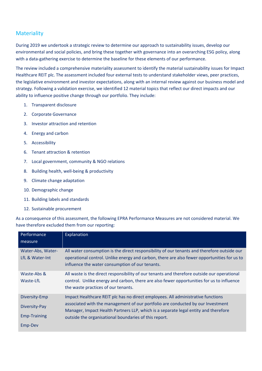# **Materiality**

During 2019 we undertook a strategic review to determine our approach to sustainability issues, develop our environmental and social policies, and bring these together with governance into an overarching ESG policy, along with a data-gathering exercise to determine the baseline for these elements of our performance.

The review included a comprehensive materiality assessment to identify the material sustainability issues for Impact Healthcare REIT plc. The assessment included four external tests to understand stakeholder views, peer practices, the legislative environment and investor expectations, along with an internal review against our business model and strategy. Following a validation exercise, we identified 12 material topics that reflect our direct impacts and our ability to influence positive change through our portfolio. They include:

- 1. Transparent disclosure
- 2. Corporate Governance
- 3. Investor attraction and retention
- 4. Energy and carbon
- 5. Accessibility
- 6. Tenant attraction & retention
- 7. Local government, community & NGO relations
- 8. Building health, well-being & productivity
- 9. Climate change adaptation
- 10. Demographic change
- 11. Building labels and standards
- 12. Sustainable procurement

As a consequence of this assessment, the following EPRA Performance Measures are not considered material. We have therefore excluded them from our reporting:

| Performance                          | Explanation                                                                                                                                                                                                                                   |
|--------------------------------------|-----------------------------------------------------------------------------------------------------------------------------------------------------------------------------------------------------------------------------------------------|
| measure                              |                                                                                                                                                                                                                                               |
| Water-Abs, Water-<br>LfL & Water-Int | All water consumption is the direct responsibility of our tenants and therefore outside our<br>operational control. Unlike energy and carbon, there are also fewer opportunities for us to<br>influence the water consumption of our tenants. |
| Waste-Abs &<br>Waste-LfL             | All waste is the direct responsibility of our tenants and therefore outside our operational<br>control. Unlike energy and carbon, there are also fewer opportunities for us to influence<br>the waste practices of our tenants.               |
| Diversity-Emp                        | Impact Healthcare REIT plc has no direct employees. All administrative functions                                                                                                                                                              |
| Diversity-Pay                        | associated with the management of our portfolio are conducted by our Investment<br>Manager, Impact Health Partners LLP, which is a separate legal entity and therefore                                                                        |
| <b>Emp-Training</b>                  | outside the organisational boundaries of this report.                                                                                                                                                                                         |
| Emp-Dev                              |                                                                                                                                                                                                                                               |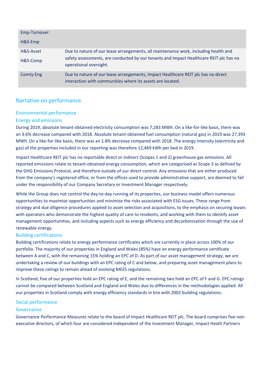| Emp-Turnover          |                                                                                                                                                                                                         |
|-----------------------|---------------------------------------------------------------------------------------------------------------------------------------------------------------------------------------------------------|
| H&S-Emp               |                                                                                                                                                                                                         |
| H&S-Asset<br>H&S-Comp | Due to nature of our lease arrangements, all maintenance work, including health and<br>safety assessments, are conducted by our tenants and Impact Healthcare REIT plc has no<br>operational oversight. |
| Comty-Eng             | Due to nature of our lease arrangements, Impact Healthcare REIT plc has no direct<br>interaction with communities where its assets are located.                                                         |

## Narrative on performance

#### Environmental performance

#### Energy and emissions

During 2019, absolute tenant-obtained electricity consumption was 7,283 MWh. On a like-for-like basis, there was an 3.6% decrease compared with 2018. Absolute tenant-obtained fuel consumption (natural gas) in 2019 was 27,393 MWh. On a like-for-like basis, there was an 1.8% decrease compared with 2018. The energy intensity (electricity and gas) of the properties included in our reporting was therefore 12,469 kWh per bed in 2019.

Impact Healthcare REIT plc has no reportable direct or indirect (Scopes 1 and 2) greenhouse gas emissions. All reported emissions relate to tenant-obtained energy consumption, which are categorised as Scope 3 as defined by the GHG Emissions Protocol, and therefore outside of our direct control. Any emissions that are either produced from the company's registered office, or from the offices used to provide administrative support, are deemed to fall under the responsibility of our Company Secretary or Investment Manager respectively.

While the Group does not control the day-to-day running of its properties, our business model offers numerous opportunities to maximise opportunities and minimise the risks associated with ESG issues. These range from strategy and due diligence procedures applied to asset selection and acquisitions, to the emphasis on securing leases with operators who demonstrate the highest quality of care to residents, and working with them to identify asset management opportunities, and including aspects such as energy efficiency and decarbonisation through the use of renewable energy.

#### Building certifications

Building certifications relate to energy performance certificates which are currently in place across 100% of our portfolio. The majority of our properties in England and Wales (85%) have an energy performance certificate between A and C, with the remaining 15% holding an EPC of D. As part of our asset management strategy, we are undertaking a review of our buildings with an EPC rating of C and below, and preparing asset management plans to improve these ratings to remain ahead of evolving MEES regulations.

In Scotland, five of our properties hold an EPC rating of E, and the remaining two hold an EPC of F and G. EPC ratings cannot be compared between Scotland and England and Wales due to differences in the methodologies applied. All our properties in Scotland comply with energy efficiency standards in line with 2002 building regulations.

#### Social performance

#### Governance

Governance Performance Measures relate to the board of Impact Healthcare REIT plc. The board comprises five nonexecutive directors, of which four are considered independent of the Investment Manager, Impact Heath Partners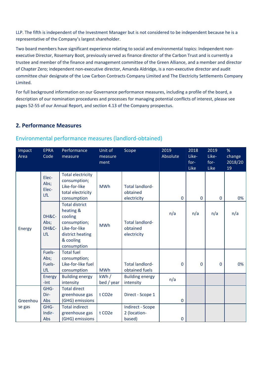LLP. The fifth is independent of the Investment Manager but is not considered to be independent because he is a representative of the Company's largest shareholder.

Two board members have significant experience relating to social and environmental topics: Independent nonexecutive Director, Rosemary Boot, previously served as finance director of the Carbon Trust and is currently a trustee and member of the finance and management committee of the Green Alliance, and a member and director of Chapter Zero; independent non-executive director, Amanda Aldridge, is a non-executive director and audit committee chair designate of the Low Carbon Contracts Company Limited and The Electricity Settlements Company Limited.

For full background information on our Governance performance measures, including a profile of the board, a description of our nomination procedures and processes for managing potential conflicts of interest, please see pages 52-55 of our Annual Report, and section 4.13 of the Company prospectus.

## **2. Performance Measures**

| Impact<br>Area | <b>EPRA</b><br>Code                       | Performance<br>measure                                                                                                         | Unit of<br>measure<br>ment | Scope                                                              | 2019<br>Absolute | 2018<br>Like-<br>for-<br>Like | 2019<br>Like-<br>for-<br>Like | %<br>change<br>2018/20<br>19 |
|----------------|-------------------------------------------|--------------------------------------------------------------------------------------------------------------------------------|----------------------------|--------------------------------------------------------------------|------------------|-------------------------------|-------------------------------|------------------------------|
|                | Elec-<br>Abs;<br>Elec-<br>LfL             | <b>Total electricity</b><br>consumption;<br>Like-for-like<br>total electricity<br>consumption                                  | <b>MWh</b>                 | <b>Total landlord-</b><br>obtained<br>electricity                  | $\mathbf{0}$     | 0                             | $\mathbf 0$                   | 0%                           |
| Energy         | DH&C-<br>Abs;<br>DH&C-<br>LfL             | <b>Total district</b><br>heating &<br>cooling<br>consumption;<br>Like-for-like<br>district heating<br>& cooling<br>consumption | <b>MWh</b>                 | <b>Total landlord-</b><br>obtained<br>electricity                  | n/a              | n/a                           | n/a                           | n/a                          |
|                | Fuels-<br>Abs;<br>Fuels-<br>LfL<br>Energy | <b>Total fuel</b><br>consumption;<br>Like-for-like fuel<br>consumption<br><b>Building energy</b>                               | <b>MWh</b><br>kWh/         | <b>Total landlord-</b><br>obtained fuels<br><b>Building energy</b> | $\mathbf 0$      | 0                             | 0                             | 0%                           |
|                | $-lnt$                                    | intensity                                                                                                                      | bed / year                 | intensity                                                          | n/a              |                               |                               |                              |
| Greenhou       | GHG-<br>Dir-<br>Abs                       | <b>Total direct</b><br>greenhouse gas<br>(GHG) emissions                                                                       | t CO <sub>2</sub> e        | Direct - Scope 1                                                   | $\mathbf{0}$     |                               |                               |                              |
| se gas         | GHG-<br>Indir-<br>Abs                     | <b>Total indirect</b><br>greenhouse gas<br>(GHG) emissions                                                                     | t CO <sub>2</sub> e        | <b>Indirect - Scope</b><br>2 (location-<br>based)                  | $\mathbf 0$      |                               |                               |                              |

## Environmental performance measures (landlord-obtained)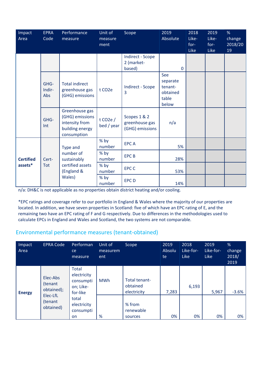| Impact<br>Area                              | <b>EPRA</b><br>Code   | Performance<br>measure                                                                | Unit of<br>measure<br>ment            | Scope                                             | 2019<br>Absolute                                         | 2018<br>Like-<br>$for-$<br>Like | 2019<br>Like-<br>$for-$<br><b>Like</b> | %<br>change<br>2018/20<br>19 |
|---------------------------------------------|-----------------------|---------------------------------------------------------------------------------------|---------------------------------------|---------------------------------------------------|----------------------------------------------------------|---------------------------------|----------------------------------------|------------------------------|
|                                             |                       |                                                                                       |                                       | <b>Indirect - Scope</b><br>2 (market-<br>based)   | $\mathbf 0$                                              |                                 |                                        |                              |
|                                             | GHG-<br>Indir-<br>Abs | <b>Total indirect</b><br>greenhouse gas<br>(GHG) emissions                            | t CO <sub>2</sub> e                   | <b>Indirect - Scope</b><br>3                      | See<br>separate<br>tenant-<br>obtained<br>table<br>below |                                 |                                        |                              |
|                                             | GHG-<br>Int           | Greenhouse gas<br>(GHG) emissions<br>intensity from<br>building energy<br>consumption | t CO <sub>2</sub> e $/$<br>bed / year | Scopes 1 & 2<br>greenhouse gas<br>(GHG) emissions | n/a                                                      |                                 |                                        |                              |
|                                             |                       | Type and                                                                              | % by<br>number                        | <b>EPCA</b>                                       | 5%                                                       |                                 |                                        |                              |
| <b>Certified</b><br>Cert-<br>assets*<br>Tot |                       | number of<br>sustainably<br>certified assets<br>(England &<br>Wales)                  | % by<br>number                        | <b>EPCB</b>                                       | 28%                                                      |                                 |                                        |                              |
|                                             |                       |                                                                                       | % by<br>number                        | <b>EPC C</b>                                      | 53%                                                      |                                 |                                        |                              |
|                                             |                       |                                                                                       | % by<br>number                        | <b>EPCD</b>                                       | 14%                                                      |                                 |                                        |                              |

n/a: DH&C is not applicable as no properties obtain district heating and/or cooling.

\*EPC ratings and coverage refer to our portfolio in England & Wales where the majority of our properties are located. In addition, we have seven properties in Scotland: five of which have an EPC rating of E, and the remaining two have an EPC rating of F and G respectively. Due to differences in the methodologies used to calculate EPCs in England and Wales and Scotland, the two systems are not comparable.

# Environmental performance measures (tenant-obtained)

| Impact<br>Area | <b>EPRA Code</b>                                                      | Performan<br><sub>ce</sub><br>measure                             | Unit of<br>measurem<br>ent | Scope                                    | 2019<br>Absolu<br>te | 2018<br>Like-for-<br><b>Like</b> | 2019<br>Like-for-<br>Like | %<br>change<br>2018/<br>2019 |
|----------------|-----------------------------------------------------------------------|-------------------------------------------------------------------|----------------------------|------------------------------------------|----------------------|----------------------------------|---------------------------|------------------------------|
| <b>Energy</b>  | Elec-Abs<br>(tenant<br>obtained);<br>Elec-LfL<br>(tenant<br>obtained) | <b>Total</b><br>electricity<br>consumpti<br>on; Like-<br>for-like | <b>MWh</b>                 | Total tenant-<br>obtained<br>electricity | 7,283                | 6,193                            | 5,967                     | $-3.6%$                      |
|                |                                                                       | total<br>electricity<br>consumpti<br><b>on</b>                    | %                          | % from<br>renewable<br>sources           | 0%                   | 0%                               | 0%                        | 0%                           |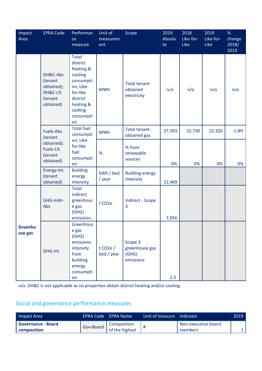| Impact<br>Area     | <b>EPRA Code</b>                                                      | Performan<br>ce<br>measure                                                                                                                    | Unit of<br>measurem<br>ent            | Scope                                           | 2019<br>Absolu<br>te | 2018<br>Like-for-<br>Like | 2019<br>Like-for-<br>Like | %<br>change<br>2018/<br>2019 |
|--------------------|-----------------------------------------------------------------------|-----------------------------------------------------------------------------------------------------------------------------------------------|---------------------------------------|-------------------------------------------------|----------------------|---------------------------|---------------------------|------------------------------|
|                    | DH&C-Abs<br>(tenant<br>obtained);<br>DH&C-LfL<br>(tenant<br>obtained) | <b>Total</b><br>district<br>heating &<br>cooling<br>consumpti<br>on; Like-<br>for-like<br>district<br>heating &<br>cooling<br>consumpti<br>on | <b>MWh</b>                            | Total tenant-<br>obtained<br>electricity        | n/a                  | n/a                       | n/a                       | n/a                          |
|                    | Fuels-Abs<br>(tenant                                                  | <b>Total fuel</b><br>consumpti                                                                                                                | <b>MWh</b>                            | Total tenant-<br>obtained gas                   | 27,393               | 22,730                    | 22,320                    | $-1.8%$                      |
|                    | obtained);<br>Fuels-LfL<br>(tenant<br>obtained)                       | on; Like-<br>for-like<br>fuel<br>consumpti<br>on                                                                                              | %                                     | % from<br>renewable<br>sources                  | 0%                   | 0%                        | 0%                        | 0%                           |
|                    | Energy-Int<br>(tenant<br>obtained)                                    | <b>Building</b><br>energy<br>intensity                                                                                                        | kWh / bed<br>/ year                   | <b>Building energy</b><br>intensity             | 12,469               |                           |                           |                              |
|                    | GHG-Indir-<br>Abs                                                     | <b>Total</b><br>indirect<br>greenhous<br>e gas<br>(GHG)<br>emissions                                                                          | t CO <sub>2</sub> e                   | <b>Indirect - Scope</b><br>3                    | 7,056                |                           |                           |                              |
| Greenho<br>use gas | GHG-Int                                                               | Greenhous<br>e gas<br>(GHG)<br>emissions<br>intensity<br>from<br>building<br>energy<br>consumpti<br>on                                        | t CO <sub>2</sub> e $/$<br>bed / year | Scope 3<br>greenhouse gas<br>(GHG)<br>emissions | 2.5                  |                           |                           |                              |

n/a: DH&C is not applicable as no properties obtain district heating and/or cooling.

# Social and governance performance measures

| Impact Area                 |           | LEPRA Code – EPRA Name l | Unit of measure Indicator |                            | 2019 |
|-----------------------------|-----------|--------------------------|---------------------------|----------------------------|------|
| <b>I</b> Governance - Board | Gov-Board | Composition              |                           | <b>Non-executive board</b> |      |
| <b>composition</b>          |           | of the highest           |                           | members                    |      |